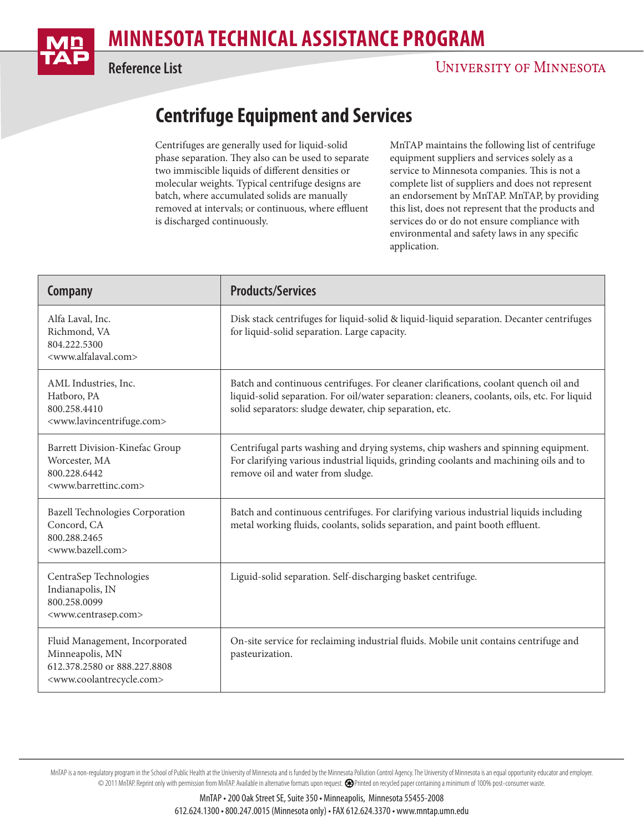

## **MINNESOTA TECHNICAL ASSISTANCE PROGRAM**

**Reference List**

### **UNIVERSITY OF MINNESOTA**

## **Centrifuge Equipment and Services**

Centrifuges are generally used for liquid-solid phase separation. They also can be used to separate two immiscible liquids of different densities or molecular weights. Typical centrifuge designs are batch, where accumulated solids are manually removed at intervals; or continuous, where effluent is discharged continuously.

MnTAP maintains the following list of centrifuge equipment suppliers and services solely as a service to Minnesota companies. This is not a complete list of suppliers and does not represent an endorsement by MnTAP. MnTAP, by providing this list, does not represent that the products and services do or do not ensure compliance with environmental and safety laws in any specific application.

| Company                                                                                                                                | <b>Products/Services</b>                                                                                                                                                                                                                        |
|----------------------------------------------------------------------------------------------------------------------------------------|-------------------------------------------------------------------------------------------------------------------------------------------------------------------------------------------------------------------------------------------------|
| Alfa Laval, Inc.<br>Richmond, VA<br>804.222.5300<br><www.alfalaval.com></www.alfalaval.com>                                            | Disk stack centrifuges for liquid-solid & liquid-liquid separation. Decanter centrifuges<br>for liquid-solid separation. Large capacity.                                                                                                        |
| AML Industries, Inc.<br>Hatboro, PA<br>800.258.4410<br><www.lavincentrifuge.com></www.lavincentrifuge.com>                             | Batch and continuous centrifuges. For cleaner clarifications, coolant quench oil and<br>liquid-solid separation. For oil/water separation: cleaners, coolants, oils, etc. For liquid<br>solid separators: sludge dewater, chip separation, etc. |
| Barrett Division-Kinefac Group<br>Worcester, MA<br>800.228.6442<br><www.barrettinc.com></www.barrettinc.com>                           | Centrifugal parts washing and drying systems, chip washers and spinning equipment.<br>For clarifying various industrial liquids, grinding coolants and machining oils and to<br>remove oil and water from sludge.                               |
| <b>Bazell Technologies Corporation</b><br>Concord, CA<br>800.288.2465<br><www.bazell.com></www.bazell.com>                             | Batch and continuous centrifuges. For clarifying various industrial liquids including<br>metal working fluids, coolants, solids separation, and paint booth effluent.                                                                           |
| CentraSep Technologies<br>Indianapolis, IN<br>800.258.0099<br><www.centrasep.com></www.centrasep.com>                                  | Liguid-solid separation. Self-discharging basket centrifuge.                                                                                                                                                                                    |
| Fluid Management, Incorporated<br>Minneapolis, MN<br>612.378.2580 or 888.227.8808<br><www.coolantrecycle.com></www.coolantrecycle.com> | On-site service for reclaiming industrial fluids. Mobile unit contains centrifuge and<br>pasteurization.                                                                                                                                        |

MnTAP is a non-requlatory program in the School of Public Health at the University of Minnesota and is funded by the Minnesota Pollution Control Agency. The University of Minnesota is an equal opportunity educator and empl © 2011 MnTAP. Reprint only with permission from MnTAP. Available in alternative formats upon request. Printed on recycled paper containing a minimum of 100% post-consumer waste.